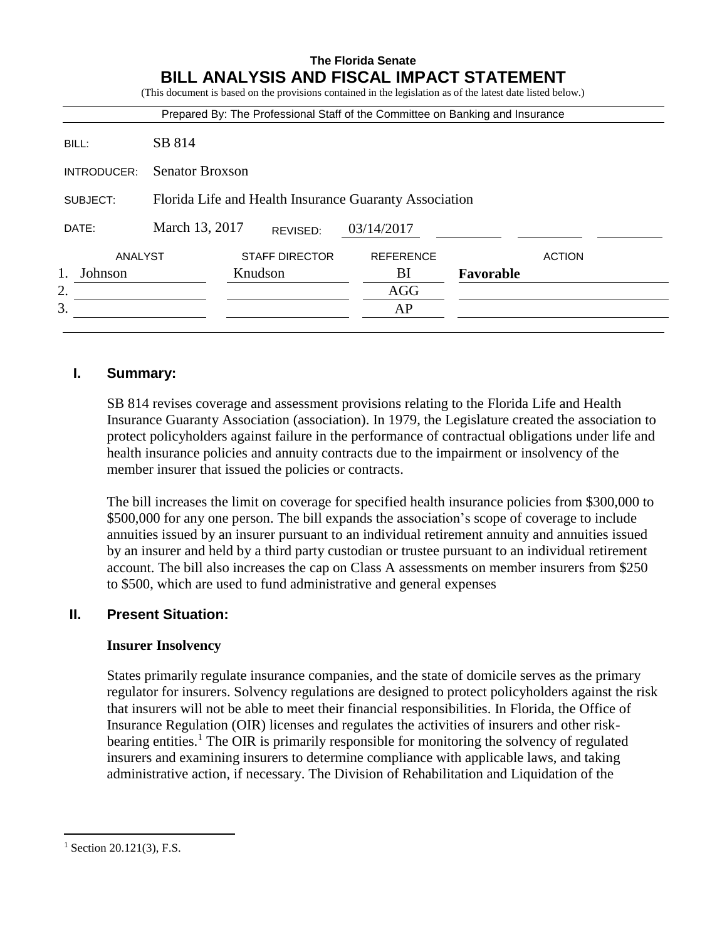|                    |                                                        |                                  | <b>The Florida Senate</b> | <b>BILL ANALYSIS AND FISCAL IMPACT STATEMENT</b><br>(This document is based on the provisions contained in the legislation as of the latest date listed below.) |
|--------------------|--------------------------------------------------------|----------------------------------|---------------------------|-----------------------------------------------------------------------------------------------------------------------------------------------------------------|
|                    |                                                        |                                  |                           | Prepared By: The Professional Staff of the Committee on Banking and Insurance                                                                                   |
| BILL:              | SB 814                                                 |                                  |                           |                                                                                                                                                                 |
| INTRODUCER:        | <b>Senator Broxson</b>                                 |                                  |                           |                                                                                                                                                                 |
| SUBJECT:           | Florida Life and Health Insurance Guaranty Association |                                  |                           |                                                                                                                                                                 |
| DATE:              | March 13, 2017<br>03/14/2017<br>REVISED:               |                                  |                           |                                                                                                                                                                 |
| ANALYST<br>Johnson |                                                        | <b>STAFF DIRECTOR</b><br>Knudson | <b>REFERENCE</b><br>BI    | <b>ACTION</b><br>Favorable                                                                                                                                      |
| 2.<br>3.           |                                                        |                                  | <b>AGG</b><br>AP          |                                                                                                                                                                 |

### **I. Summary:**

SB 814 revises coverage and assessment provisions relating to the Florida Life and Health Insurance Guaranty Association (association). In 1979, the Legislature created the association to protect policyholders against failure in the performance of contractual obligations under life and health insurance policies and annuity contracts due to the impairment or insolvency of the member insurer that issued the policies or contracts.

The bill increases the limit on coverage for specified health insurance policies from \$300,000 to \$500,000 for any one person. The bill expands the association's scope of coverage to include annuities issued by an insurer pursuant to an individual retirement annuity and annuities issued by an insurer and held by a third party custodian or trustee pursuant to an individual retirement account. The bill also increases the cap on Class A assessments on member insurers from \$250 to \$500, which are used to fund administrative and general expenses

## **II. Present Situation:**

#### **Insurer Insolvency**

States primarily regulate insurance companies, and the state of domicile serves as the primary regulator for insurers. Solvency regulations are designed to protect policyholders against the risk that insurers will not be able to meet their financial responsibilities. In Florida, the Office of Insurance Regulation (OIR) licenses and regulates the activities of insurers and other riskbearing entities.<sup>1</sup> The OIR is primarily responsible for monitoring the solvency of regulated insurers and examining insurers to determine compliance with applicable laws, and taking administrative action, if necessary. The Division of Rehabilitation and Liquidation of the

 $\overline{a}$ 

 $1$  Section 20.121(3), F.S.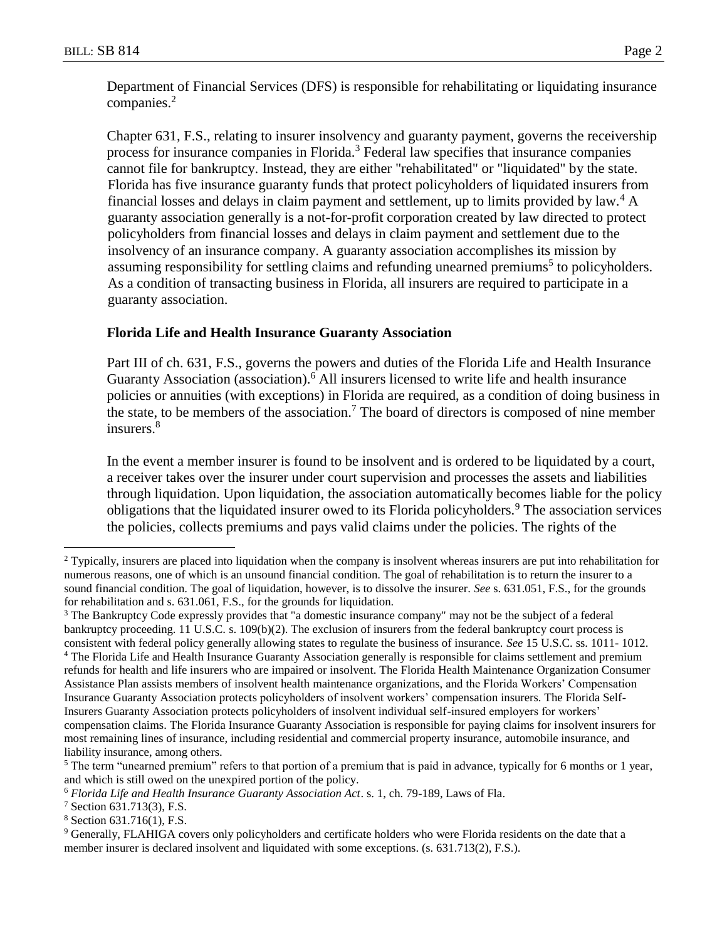Department of Financial Services (DFS) is responsible for rehabilitating or liquidating insurance companies.<sup>2</sup>

Chapter 631, F.S., relating to insurer insolvency and guaranty payment, governs the receivership process for insurance companies in Florida.<sup>3</sup> Federal law specifies that insurance companies cannot file for bankruptcy. Instead, they are either "rehabilitated" or "liquidated" by the state. Florida has five insurance guaranty funds that protect policyholders of liquidated insurers from financial losses and delays in claim payment and settlement, up to limits provided by law.<sup>4</sup> A guaranty association generally is a not-for-profit corporation created by law directed to protect policyholders from financial losses and delays in claim payment and settlement due to the insolvency of an insurance company. A guaranty association accomplishes its mission by assuming responsibility for settling claims and refunding unearned premiums<sup>5</sup> to policyholders. As a condition of transacting business in Florida, all insurers are required to participate in a guaranty association.

# **Florida Life and Health Insurance Guaranty Association**

Part III of ch. 631, F.S., governs the powers and duties of the Florida Life and Health Insurance Guaranty Association (association).<sup>6</sup> All insurers licensed to write life and health insurance policies or annuities (with exceptions) in Florida are required, as a condition of doing business in the state, to be members of the association.<sup>7</sup> The board of directors is composed of nine member insurers. 8

In the event a member insurer is found to be insolvent and is ordered to be liquidated by a court, a receiver takes over the insurer under court supervision and processes the assets and liabilities through liquidation. Upon liquidation, the association automatically becomes liable for the policy obligations that the liquidated insurer owed to its Florida policyholders.<sup>9</sup> The association services the policies, collects premiums and pays valid claims under the policies. The rights of the

 $\overline{a}$ 

<sup>&</sup>lt;sup>2</sup> Typically, insurers are placed into liquidation when the company is insolvent whereas insurers are put into rehabilitation for numerous reasons, one of which is an unsound financial condition. The goal of rehabilitation is to return the insurer to a sound financial condition. The goal of liquidation, however, is to dissolve the insurer. *See* s. 631.051, F.S., for the grounds for rehabilitation and s. 631.061, F.S., for the grounds for liquidation.

<sup>&</sup>lt;sup>3</sup> The Bankruptcy Code expressly provides that "a domestic insurance company" may not be the subject of a federal bankruptcy proceeding. 11 U.S.C. s. 109(b)(2). The exclusion of insurers from the federal bankruptcy court process is consistent with federal policy generally allowing states to regulate the business of insurance. *See* 15 U.S.C. ss. 1011- 1012. <sup>4</sup> The Florida Life and Health Insurance Guaranty Association generally is responsible for claims settlement and premium refunds for health and life insurers who are impaired or insolvent. The Florida Health Maintenance Organization Consumer Assistance Plan assists members of insolvent health maintenance organizations, and the Florida Workers' Compensation Insurance Guaranty Association protects policyholders of insolvent workers' compensation insurers. The Florida Self-Insurers Guaranty Association protects policyholders of insolvent individual self-insured employers for workers' compensation claims. The Florida Insurance Guaranty Association is responsible for paying claims for insolvent insurers for most remaining lines of insurance, including residential and commercial property insurance, automobile insurance, and liability insurance, among others.

<sup>&</sup>lt;sup>5</sup> The term "unearned premium" refers to that portion of a premium that is paid in advance, typically for 6 months or 1 year, and which is still owed on the unexpired portion of the policy.

<sup>6</sup> *Florida Life and Health Insurance Guaranty Association Act*. s. 1, ch. 79-189, Laws of Fla.

<sup>7</sup> Section 631.713(3), F.S.

<sup>8</sup> Section 631.716(1), F.S.

<sup>9</sup> Generally, FLAHIGA covers only policyholders and certificate holders who were Florida residents on the date that a member insurer is declared insolvent and liquidated with some exceptions. (s. 631.713(2), F.S.).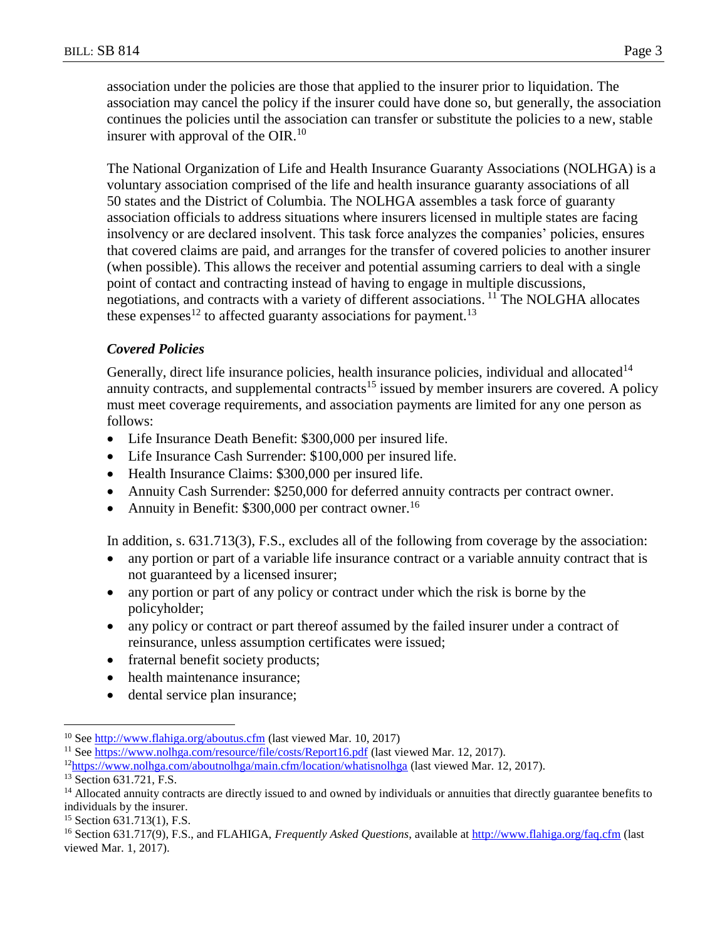association under the policies are those that applied to the insurer prior to liquidation. The association may cancel the policy if the insurer could have done so, but generally, the association continues the policies until the association can transfer or substitute the policies to a new, stable insurer with approval of the OIR.<sup>10</sup>

The National Organization of Life and Health Insurance Guaranty Associations (NOLHGA) is a voluntary association comprised of the life and health insurance guaranty associations of all 50 states and the District of Columbia. The NOLHGA assembles a task force of guaranty association officials to address situations where insurers licensed in multiple states are facing insolvency or are declared insolvent. This task force analyzes the companies' policies, ensures that covered claims are paid, and arranges for the transfer of covered policies to another insurer (when possible). This allows the receiver and potential assuming carriers to deal with a single point of contact and contracting instead of having to engage in multiple discussions, negotiations, and contracts with a variety of different associations. <sup>11</sup> The NOLGHA allocates these expenses<sup>12</sup> to affected guaranty associations for payment.<sup>13</sup>

### *Covered Policies*

Generally, direct life insurance policies, health insurance policies, individual and allocated<sup>14</sup> annuity contracts, and supplemental contracts<sup>15</sup> issued by member insurers are covered. A policy must meet coverage requirements, and association payments are limited for any one person as follows:

- Life Insurance Death Benefit: \$300,000 per insured life.
- Life Insurance Cash Surrender: \$100,000 per insured life.
- Health Insurance Claims: \$300,000 per insured life.
- Annuity Cash Surrender: \$250,000 for deferred annuity contracts per contract owner.
- Annuity in Benefit:  $$300,000$  per contract owner.<sup>16</sup>

In addition, s. 631.713(3), F.S., excludes all of the following from coverage by the association:

- any portion or part of a variable life insurance contract or a variable annuity contract that is not guaranteed by a licensed insurer;
- any portion or part of any policy or contract under which the risk is borne by the policyholder;
- any policy or contract or part thereof assumed by the failed insurer under a contract of reinsurance, unless assumption certificates were issued;
- fraternal benefit society products;
- health maintenance insurance:
- dental service plan insurance;

 $\overline{a}$ 

<sup>15</sup> Section 631.713(1), F.S.

<sup>&</sup>lt;sup>10</sup> See<http://www.flahiga.org/aboutus.cfm> (last viewed Mar. 10, 2017)

<sup>11</sup> See<https://www.nolhga.com/resource/file/costs/Report16.pdf> (last viewed Mar. 12, 2017).

<sup>12</sup><https://www.nolhga.com/aboutnolhga/main.cfm/location/whatisnolhga> (last viewed Mar. 12, 2017).

<sup>&</sup>lt;sup>13</sup> Section 631.721, F.S.

<sup>&</sup>lt;sup>14</sup> Allocated annuity contracts are directly issued to and owned by individuals or annuities that directly guarantee benefits to individuals by the insurer.

<sup>16</sup> Section 631.717(9), F.S., and FLAHIGA, *Frequently Asked Questions*, available a[t http://www.flahiga.org/faq.cfm](http://www.flahiga.org/faq.cfm) (last viewed Mar. 1, 2017).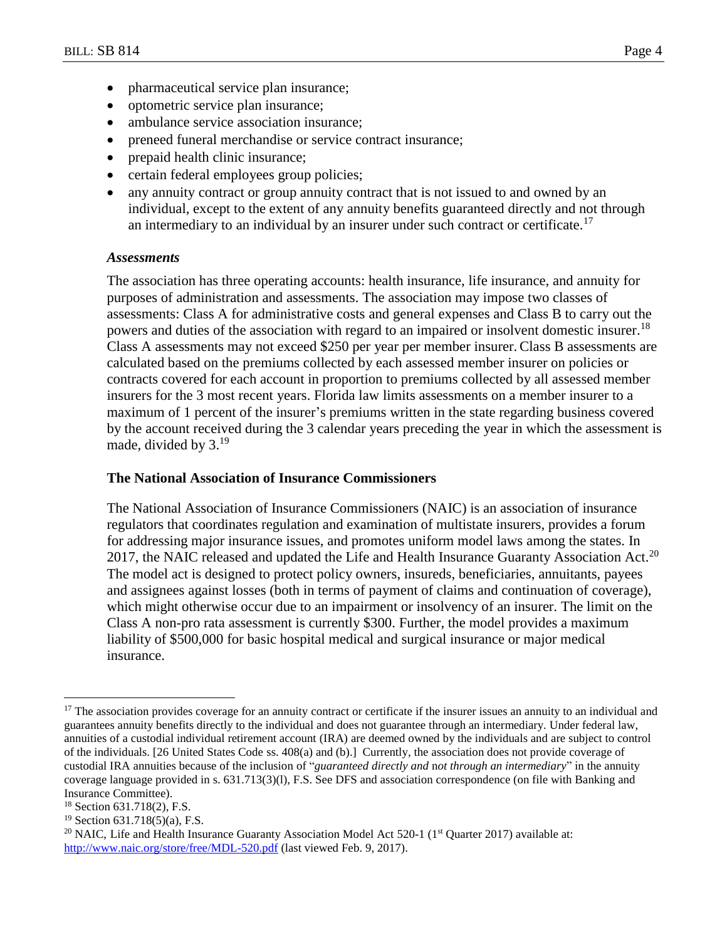- pharmaceutical service plan insurance;
- optometric service plan insurance;
- ambulance service association insurance;
- preneed funeral merchandise or service contract insurance;
- prepaid health clinic insurance;
- certain federal employees group policies;
- any annuity contract or group annuity contract that is not issued to and owned by an individual, except to the extent of any annuity benefits guaranteed directly and not through an intermediary to an individual by an insurer under such contract or certificate.<sup>17</sup>

#### *Assessments*

The association has three operating accounts: health insurance, life insurance, and annuity for purposes of administration and assessments. The association may impose two classes of assessments: Class A for administrative costs and general expenses and Class B to carry out the powers and duties of the association with regard to an impaired or insolvent domestic insurer.<sup>18</sup> Class A assessments may not exceed \$250 per year per member insurer. Class B assessments are calculated based on the premiums collected by each assessed member insurer on policies or contracts covered for each account in proportion to premiums collected by all assessed member insurers for the 3 most recent years. Florida law limits assessments on a member insurer to a maximum of 1 percent of the insurer's premiums written in the state regarding business covered by the account received during the 3 calendar years preceding the year in which the assessment is made, divided by  $3.^{19}$ 

#### **The National Association of Insurance Commissioners**

The National Association of Insurance Commissioners (NAIC) is an association of insurance regulators that coordinates regulation and examination of multistate insurers, provides a forum for addressing major insurance issues, and promotes uniform model laws among the states. In 2017, the NAIC released and updated the Life and Health Insurance Guaranty Association Act.<sup>20</sup> The model act is designed to protect policy owners, insureds, beneficiaries, annuitants, payees and assignees against losses (both in terms of payment of claims and continuation of coverage), which might otherwise occur due to an impairment or insolvency of an insurer. The limit on the Class A non-pro rata assessment is currently \$300. Further, the model provides a maximum liability of \$500,000 for basic hospital medical and surgical insurance or major medical insurance.

 $\overline{a}$ 

<sup>&</sup>lt;sup>17</sup> The association provides coverage for an annuity contract or certificate if the insurer issues an annuity to an individual and guarantees annuity benefits directly to the individual and does not guarantee through an intermediary. Under federal law, annuities of a custodial individual retirement account (IRA) are deemed owned by the individuals and are subject to control of the individuals. [26 United States Code ss. 408(a) and (b).] Currently, the association does not provide coverage of custodial IRA annuities because of the inclusion of "*guaranteed directly and* n*ot through an intermediary*" in the annuity coverage language provided in s. 631.713(3)(l), F.S. See DFS and association correspondence (on file with Banking and Insurance Committee).

 $18$  Section 631.718(2), F.S.

<sup>&</sup>lt;sup>19</sup> Section  $631.718(5)$ (a), F.S.

<sup>&</sup>lt;sup>20</sup> NAIC, Life and Health Insurance Guaranty Association Model Act 520-1 ( $1<sup>st</sup>$  Quarter 2017) available at: <http://www.naic.org/store/free/MDL-520.pdf> (last viewed Feb. 9, 2017).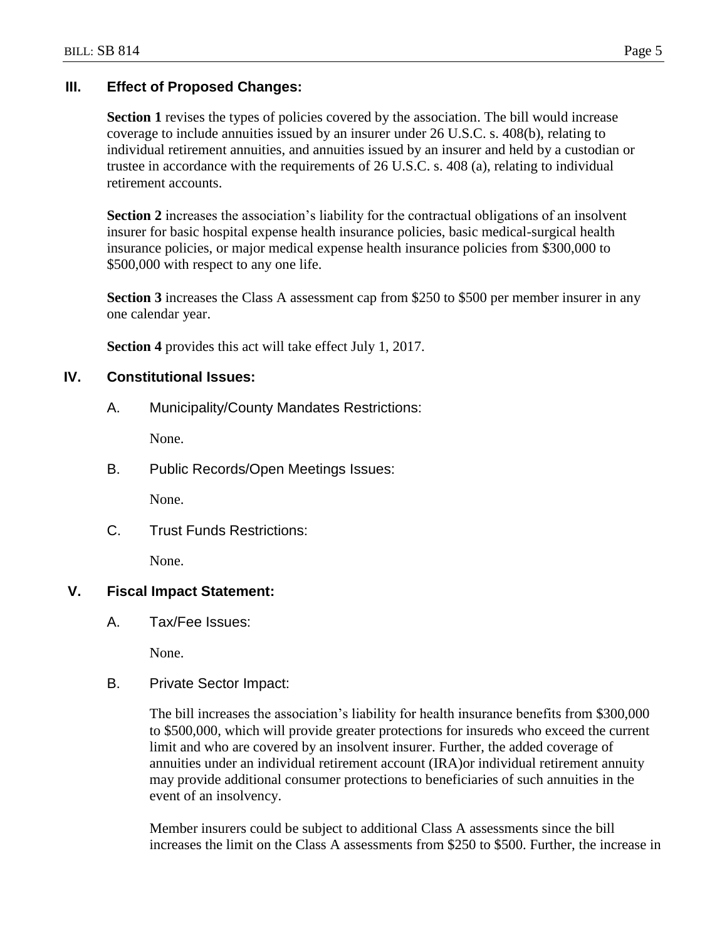# **III. Effect of Proposed Changes:**

**Section 1** revises the types of policies covered by the association. The bill would increase coverage to include annuities issued by an insurer under 26 U.S.C. s. 408(b), relating to individual retirement annuities, and annuities issued by an insurer and held by a custodian or trustee in accordance with the requirements of 26 U.S.C. s. 408 (a), relating to individual retirement accounts.

**Section 2** increases the association's liability for the contractual obligations of an insolvent insurer for basic hospital expense health insurance policies, basic medical-surgical health insurance policies, or major medical expense health insurance policies from \$300,000 to \$500,000 with respect to any one life.

**Section 3** increases the Class A assessment cap from \$250 to \$500 per member insurer in any one calendar year.

**Section 4** provides this act will take effect July 1, 2017.

# **IV. Constitutional Issues:**

A. Municipality/County Mandates Restrictions:

None.

B. Public Records/Open Meetings Issues:

None.

C. Trust Funds Restrictions:

None.

# **V. Fiscal Impact Statement:**

A. Tax/Fee Issues:

None.

B. Private Sector Impact:

The bill increases the association's liability for health insurance benefits from \$300,000 to \$500,000, which will provide greater protections for insureds who exceed the current limit and who are covered by an insolvent insurer. Further, the added coverage of annuities under an individual retirement account (IRA)or individual retirement annuity may provide additional consumer protections to beneficiaries of such annuities in the event of an insolvency.

Member insurers could be subject to additional Class A assessments since the bill increases the limit on the Class A assessments from \$250 to \$500. Further, the increase in